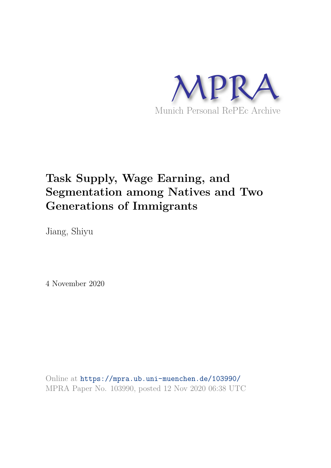

# **Task Supply, Wage Earning, and Segmentation among Natives and Two Generations of Immigrants**

Jiang, Shiyu

4 November 2020

Online at https://mpra.ub.uni-muenchen.de/103990/ MPRA Paper No. 103990, posted 12 Nov 2020 06:38 UTC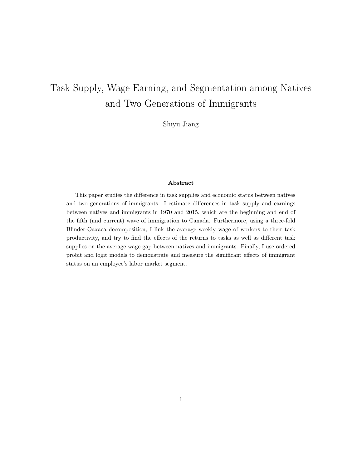# Task Supply, Wage Earning, and Segmentation among Natives and Two Generations of Immigrants

Shiyu Jiang

## Abstract

This paper studies the difference in task supplies and economic status between natives and two generations of immigrants. I estimate differences in task supply and earnings between natives and immigrants in 1970 and 2015, which are the beginning and end of the fifth (and current) wave of immigration to Canada. Furthermore, using a three-fold Blinder-Oaxaca decomposition, I link the average weekly wage of workers to their task productivity, and try to find the effects of the returns to tasks as well as different task supplies on the average wage gap between natives and immigrants. Finally, I use ordered probit and logit models to demonstrate and measure the significant effects of immigrant status on an employee's labor market segment.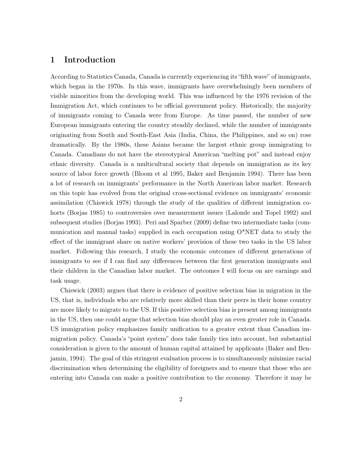## 1 Introduction

According to Statistics Canada, Canada is currently experiencing its "fifth wave" of immigrants, which began in the 1970s. In this wave, immigrants have overwhelmingly been members of visible minorities from the developing world. This was influenced by the 1976 revision of the Immigration Act, which continues to be official government policy. Historically, the majority of immigrants coming to Canada were from Europe. As time passed, the number of new European immigrants entering the country steadily declined, while the number of immigrants originating from South and South-East Asia (India, China, the Philippines, and so on) rose dramatically. By the 1980s, these Asians became the largest ethnic group immigrating to Canada. Canadians do not have the stereotypical American "melting pot" and instead enjoy ethnic diversity. Canada is a multicultural society that depends on immigration as its key source of labor force growth (Bloom et al 1995, Baker and Benjamin 1994). There has been a lot of research on immigrants' performance in the North American labor market. Research on this topic has evolved from the original cross-sectional evidence on immigrants' economic assimilation (Chiswick 1978) through the study of the qualities of different immigration cohorts (Borjas 1985) to controversies over measurement issues (Lalonde and Topel 1992) and subsequent studies (Borjas 1993). Peri and Sparber (2009) define two intermediate tasks (communication and manual tasks) supplied in each occupation using  $O^*NET$  data to study the effect of the immigrant share on native workers' provision of these two tasks in the US labor market. Following this research, I study the economic outcomes of different generations of immigrants to see if I can find any differences between the first generation immigrants and their children in the Canadian labor market. The outcomes I will focus on are earnings and task usage.

Chiswick (2003) argues that there is evidence of positive selection bias in migration in the US, that is, individuals who are relatively more skilled than their peers in their home country are more likely to migrate to the US. If this positive selection bias is present among immigrants in the US, then one could argue that selection bias should play an even greater role in Canada. US immigration policy emphasizes family unification to a greater extent than Canadian immigration policy. Canada's "point system" does take family ties into account, but substantial consideration is given to the amount of human capital attained by applicants (Baker and Benjamin, 1994). The goal of this stringent evaluation process is to simultaneously minimize racial discrimination when determining the eligibility of foreigners and to ensure that those who are entering into Canada can make a positive contribution to the economy. Therefore it may be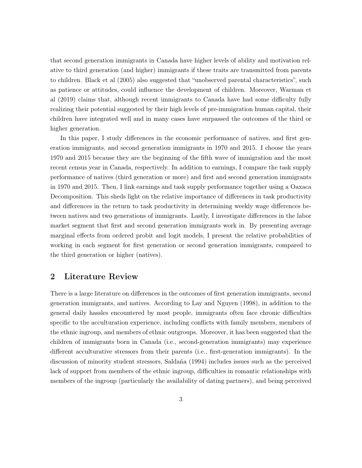that second generation immigrants in Canada have higher levels of ability and motivation relative to third generation (and higher) immigrants if these traits are transmitted from parents to children. Black et al (2005) also suggested that "unobserved parental characteristics", such as patience or attitudes, could influence the development of children. Moreover, Warman et al (2019) claims that, although recent immigrants to Canada have had some difficulty fully realizing their potential suggested by their high levels of pre-immigration human capital, their children have integrated well and in many cases have surpassed the outcomes of the third or higher generation.

In this paper, I study differences in the economic performance of natives, and first generation immigrants, and second generation immigrants in 1970 and 2015. I choose the years 1970 and 2015 because they are the beginning of the fifth wave of immigration and the most recent census year in Canada, respectively. In addition to earnings, I compare the task supply performance of natives (third generation or more) and first and second generation immigrants in 1970 and 2015. Then, I link earnings and task supply performance together using a Oaxaca Decomposition. This sheds light on the relative importance of differences in task productivity and differences in the return to task productivity in determining weekly wage differences between natives and two generations of immigrants. Lastly, I investigate differences in the labor market segment that first and second generation immigrants work in. By presenting average marginal effects from ordered probit and logit models, I present the relative probabilities of working in each segment for first generation or second generation immigrants, compared to the third generation or higher (natives).

## 2 Literature Review

There is a large literature on differences in the outcomes of first generation immigrants, second generation immigrants, and natives. According to Lay and Nguyen (1998), in addition to the general daily hassles encountered by most people, immigrants often face chronic difficulties specific to the acculturation experience, including conflicts with family members, members of the ethnic ingroup, and members of ethnic outgroups. Moreover, it has been suggested that the children of immigrants born in Canada (i.e., second-generation immigrants) may experience different acculturative stressors from their parents (i.e., first-generation immigrants). In the discussion of minority student stressors, Saldaña (1994) includes issues such as the perceived lack of support from members of the ethnic ingroup, difficulties in romantic relationships with members of the ingroup (particularly the availability of dating partners), and being perceived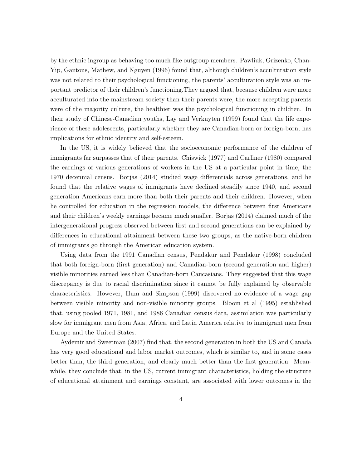by the ethnic ingroup as behaving too much like outgroup members. Pawliuk, Grizenko, Chan-Yip, Gantous, Mathew, and Nguyen (1996) found that, although children's acculturation style was not related to their psychological functioning, the parents' acculturation style was an important predictor of their children's functioning.They argued that, because children were more acculturated into the mainstream society than their parents were, the more accepting parents were of the majority culture, the healthier was the psychological functioning in children. In their study of Chinese-Canadian youths, Lay and Verkuyten (1999) found that the life experience of these adolescents, particularly whether they are Canadian-born or foreign-born, has implications for ethnic identity and self-esteem.

In the US, it is widely believed that the socioeconomic performance of the children of immigrants far surpasses that of their parents. Chiswick (1977) and Carliner (1980) compared the earnings of various generations of workers in the US at a particular point in time, the 1970 decennial census. Borjas (2014) studied wage differentials across generations, and he found that the relative wages of immigrants have declined steadily since 1940, and second generation Americans earn more than both their parents and their children. However, when he controlled for education in the regression models, the difference between first Americans and their children's weekly earnings became much smaller. Borjas (2014) claimed much of the intergenerational progress observed between first and second generations can be explained by differences in educational attainment between these two groups, as the native-born children of immigrants go through the American education system.

Using data from the 1991 Canadian census, Pendakur and Pendakur (1998) concluded that both foreign-born (first generation) and Canadian-born (second generation and higher) visible minorities earned less than Canadian-born Caucasians. They suggested that this wage discrepancy is due to racial discrimination since it cannot be fully explained by observable characteristics. However, Hum and Simpson (1999) discovered no evidence of a wage gap between visible minority and non-visible minority groups. Bloom et al (1995) established that, using pooled 1971, 1981, and 1986 Canadian census data, assimilation was particularly slow for immigrant men from Asia, Africa, and Latin America relative to immigrant men from Europe and the United States.

Aydemir and Sweetman (2007) find that, the second generation in both the US and Canada has very good educational and labor market outcomes, which is similar to, and in some cases better than, the third generation, and clearly much better than the first generation. Meanwhile, they conclude that, in the US, current immigrant characteristics, holding the structure of educational attainment and earnings constant, are associated with lower outcomes in the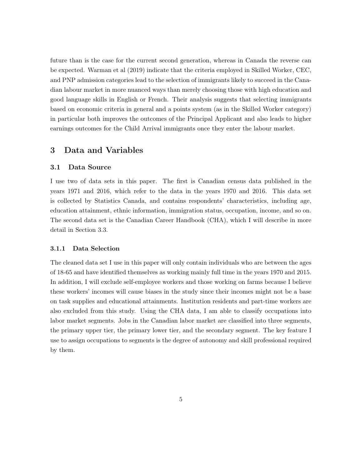future than is the case for the current second generation, whereas in Canada the reverse can be expected. Warman et al (2019) indicate that the criteria employed in Skilled Worker, CEC, and PNP admission categories lead to the selection of immigrants likely to succeed in the Canadian labour market in more nuanced ways than merely choosing those with high education and good language skills in English or French. Their analysis suggests that selecting immigrants based on economic criteria in general and a points system (as in the Skilled Worker category) in particular both improves the outcomes of the Principal Applicant and also leads to higher earnings outcomes for the Child Arrival immigrants once they enter the labour market.

## 3 Data and Variables

### 3.1 Data Source

I use two of data sets in this paper. The first is Canadian census data published in the years 1971 and 2016, which refer to the data in the years 1970 and 2016. This data set is collected by Statistics Canada, and contains respondents' characteristics, including age, education attainment, ethnic information, immigration status, occupation, income, and so on. The second data set is the Canadian Career Handbook (CHA), which I will describe in more detail in Section 3.3.

#### 3.1.1 Data Selection

The cleaned data set I use in this paper will only contain individuals who are between the ages of 18-65 and have identified themselves as working mainly full time in the years 1970 and 2015. In addition, I will exclude self-employee workers and those working on farms because I believe these workers' incomes will cause biases in the study since their incomes might not be a base on task supplies and educational attainments. Institution residents and part-time workers are also excluded from this study. Using the CHA data, I am able to classify occupations into labor market segments. Jobs in the Canadian labor market are classified into three segments, the primary upper tier, the primary lower tier, and the secondary segment. The key feature I use to assign occupations to segments is the degree of autonomy and skill professional required by them.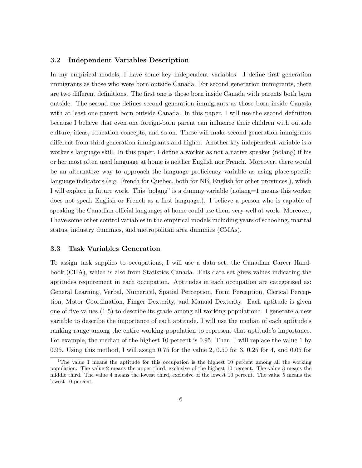## 3.2 Independent Variables Description

In my empirical models, I have some key independent variables. I define first generation immigrants as those who were born outside Canada. For second generation immigrants, there are two different definitions. The first one is those born inside Canada with parents both born outside. The second one defines second generation immigrants as those born inside Canada with at least one parent born outside Canada. In this paper, I will use the second definition because I believe that even one foreign-born parent can influence their children with outside culture, ideas, education concepts, and so on. These will make second generation immigrants different from third generation immigrants and higher. Another key independent variable is a worker's language skill. In this paper, I define a worker as not a native speaker (nolang) if his or her most often used language at home is neither English nor French. Moreover, there would be an alternative way to approach the language proficiency variable as using place-specific language indicators (e.g. French for Quebec, both for NB, English for other provinces.), which I will explore in future work. This "nolang" is a dummy variable (nolang=1 means this worker does not speak English or French as a first language.). I believe a person who is capable of speaking the Canadian official languages at home could use them very well at work. Moreover, I have some other control variables in the empirical models including years of schooling, marital status, industry dummies, and metropolitan area dummies (CMAs).

### 3.3 Task Variables Generation

To assign task supplies to occupations, I will use a data set, the Canadian Career Handbook (CHA), which is also from Statistics Canada. This data set gives values indicating the aptitudes requirement in each occupation. Aptitudes in each occupation are categorized as: General Learning, Verbal, Numerical, Spatial Perception, Form Perception, Clerical Perception, Motor Coordination, Finger Dexterity, and Manual Dexterity. Each aptitude is given one of five values  $(1-5)$  to describe its grade among all working population<sup>1</sup>. I generate a new variable to describe the importance of each aptitude. I will use the median of each aptitude's ranking range among the entire working population to represent that aptitude's importance. For example, the median of the highest 10 percent is 0.95. Then, I will replace the value 1 by 0.95. Using this method, I will assign 0.75 for the value 2, 0.50 for 3, 0.25 for 4, and 0.05 for

<sup>&</sup>lt;sup>1</sup>The value 1 means the aptitude for this occupation is the highest 10 percent among all the working population. The value 2 means the upper third, exclusive of the highest 10 percent. The value 3 means the middle third. The value 4 means the lowest third, exclusive of the lowest 10 percent. The value 5 means the lowest 10 percent.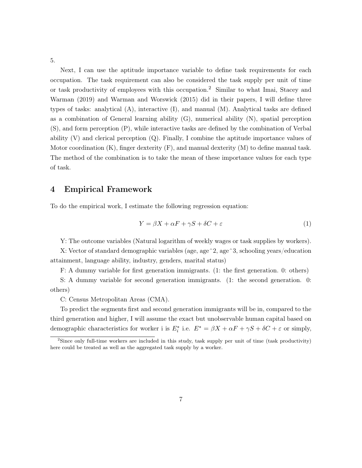5.

Next, I can use the aptitude importance variable to define task requirements for each occupation. The task requirement can also be considered the task supply per unit of time or task productivity of employees with this occupation.<sup>2</sup> Similar to what Imai, Stacey and Warman (2019) and Warman and Worswick (2015) did in their papers, I will define three types of tasks: analytical (A), interactive (I), and manual (M). Analytical tasks are defined as a combination of General learning ability (G), numerical ability (N), spatial perception (S), and form perception (P), while interactive tasks are defined by the combination of Verbal ability (V) and clerical perception (Q). Finally, I combine the aptitude importance values of Motor coordination  $(K)$ , finger dexterity  $(F)$ , and manual dexterity  $(M)$  to define manual task. The method of the combination is to take the mean of these importance values for each type of task.

## 4 Empirical Framework

To do the empirical work, I estimate the following regression equation:

$$
Y = \beta X + \alpha F + \gamma S + \delta C + \varepsilon \tag{1}
$$

Y: The outcome variables (Natural logarithm of weekly wages or task supplies by workers).

X: Vector of standard demographic variables (age, age^2, age^3, schooling years/education attainment, language ability, industry, genders, marital status)

F: A dummy variable for first generation immigrants. (1: the first generation. 0: others)

S: A dummy variable for second generation immigrants. (1: the second generation. 0: others)

C: Census Metropolitan Areas (CMA).

To predict the segments first and second generation immigrants will be in, compared to the third generation and higher, I will assume the exact but unobservable human capital based on demographic characteristics for worker i is  $E_i^*$  i.e.  $E^* = \beta X + \alpha F + \gamma S + \delta C + \varepsilon$  or simply,

 $2$ Since only full-time workers are included in this study, task supply per unit of time (task productivity) here could be treated as well as the aggregated task supply by a worker.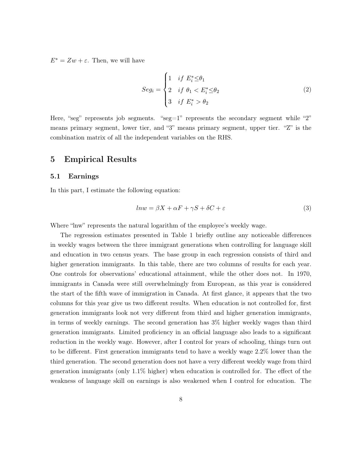$E^* = Zw + \varepsilon$ . Then, we will have

$$
Seg_i = \begin{cases} 1 & if \ E_i^* \leq \theta_1 \\ 2 & if \ \theta_1 < E_i^* \leq \theta_2 \\ 3 & if \ E_i^* > \theta_2 \end{cases} \tag{2}
$$

Here, "seg" represents job segments. " $seg=1$ " represents the secondary segment while "2" means primary segment, lower tier, and "3" means primary segment, upper tier. "Z" is the combination matrix of all the independent variables on the RHS.

## 5 Empirical Results

## 5.1 Earnings

In this part, I estimate the following equation:

$$
ln w = \beta X + \alpha F + \gamma S + \delta C + \varepsilon \tag{3}
$$

Where "lnw" represents the natural logarithm of the employee's weekly wage.

The regression estimates presented in Table 1 briefly outline any noticeable differences in weekly wages between the three immigrant generations when controlling for language skill and education in two census years. The base group in each regression consists of third and higher generation immigrants. In this table, there are two columns of results for each year. One controls for observations' educational attainment, while the other does not. In 1970, immigrants in Canada were still overwhelmingly from European, as this year is considered the start of the fifth wave of immigration in Canada. At first glance, it appears that the two columns for this year give us two different results. When education is not controlled for, first generation immigrants look not very different from third and higher generation immigrants, in terms of weekly earnings. The second generation has 3% higher weekly wages than third generation immigrants. Limited proficiency in an official language also leads to a significant reduction in the weekly wage. However, after I control for years of schooling, things turn out to be different. First generation immigrants tend to have a weekly wage 2.2% lower than the third generation. The second generation does not have a very different weekly wage from third generation immigrants (only 1.1% higher) when education is controlled for. The effect of the weakness of language skill on earnings is also weakened when I control for education. The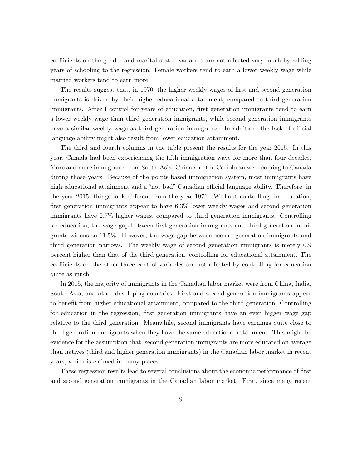coefficients on the gender and marital status variables are not affected very much by adding years of schooling to the regression. Female workers tend to earn a lower weekly wage while married workers tend to earn more.

The results suggest that, in 1970, the higher weekly wages of first and second generation immigrants is driven by their higher educational attainment, compared to third generation immigrants. After I control for years of education, first generation immigrants tend to earn a lower weekly wage than third generation immigrants, while second generation immigrants have a similar weekly wage as third generation immigrants. In addition, the lack of official language ability might also result from lower education attainment.

The third and fourth columns in the table present the results for the year 2015. In this year, Canada had been experiencing the fifth immigration wave for more than four decades. More and more immigrants from South Asia, China and the Caribbean were coming to Canada during those years. Because of the points-based immigration system, most immigrants have high educational attainment and a "not bad" Canadian official language ability. Therefore, in the year 2015, things look different from the year 1971. Without controlling for education, first generation immigrants appear to have 6.3% lower weekly wages and second generation immigrants have 2.7% higher wages, compared to third generation immigrants. Controlling for education, the wage gap between first generation immigrants and third generation immigrants widens to 11.5%. However, the wage gap between second generation immigrants and third generation narrows. The weekly wage of second generation immigrants is merely 0.9 percent higher than that of the third generation, controlling for educational attainment. The coefficients on the other three control variables are not affected by controlling for education quite as much.

In 2015, the majority of immigrants in the Canadian labor market were from China, India, South Asia, and other developing countries. First and second generation immigrants appear to benefit from higher educational attainment, compared to the third generation. Controlling for education in the regression, first generation immigrants have an even bigger wage gap relative to the third generation. Meanwhile, second immigrants have earnings quite close to third generation immigrants when they have the same educational attainment. This might be evidence for the assumption that, second generation immigrants are more educated on average than natives (third and higher generation immigrants) in the Canadian labor market in recent years, which is claimed in many places.

These regression results lead to several conclusions about the economic performance of first and second generation immigrants in the Canadian labor market. First, since many recent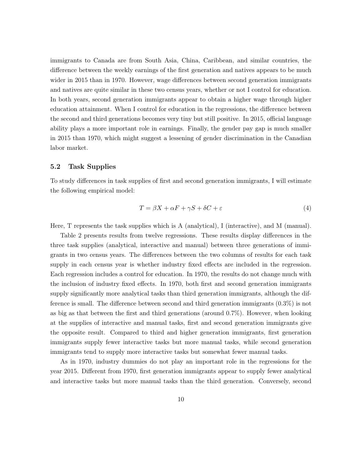immigrants to Canada are from South Asia, China, Caribbean, and similar countries, the difference between the weekly earnings of the first generation and natives appears to be much wider in 2015 than in 1970. However, wage differences between second generation immigrants and natives are quite similar in these two census years, whether or not I control for education. In both years, second generation immigrants appear to obtain a higher wage through higher education attainment. When I control for education in the regressions, the difference between the second and third generations becomes very tiny but still positive. In 2015, official language ability plays a more important role in earnings. Finally, the gender pay gap is much smaller in 2015 than 1970, which might suggest a lessening of gender discrimination in the Canadian labor market.

### 5.2 Task Supplies

To study differences in task supplies of first and second generation immigrants, I will estimate the following empirical model:

$$
T = \beta X + \alpha F + \gamma S + \delta C + \varepsilon \tag{4}
$$

Here, T represents the task supplies which is A (analytical), I (interactive), and M (manual).

Table 2 presents results from twelve regressions. These results display differences in the three task supplies (analytical, interactive and manual) between three generations of immigrants in two census years. The differences between the two columns of results for each task supply in each census year is whether industry fixed effects are included in the regression. Each regression includes a control for education. In 1970, the results do not change much with the inclusion of industry fixed effects. In 1970, both first and second generation immigrants supply significantly more analytical tasks than third generation immigrants, although the difference is small. The difference between second and third generation immigrants (0.3%) is not as big as that between the first and third generations (around 0.7%). However, when looking at the supplies of interactive and manual tasks, first and second generation immigrants give the opposite result. Compared to third and higher generation immigrants, first generation immigrants supply fewer interactive tasks but more manual tasks, while second generation immigrants tend to supply more interactive tasks but somewhat fewer manual tasks.

As in 1970, industry dummies do not play an important role in the regressions for the year 2015. Different from 1970, first generation immigrants appear to supply fewer analytical and interactive tasks but more manual tasks than the third generation. Conversely, second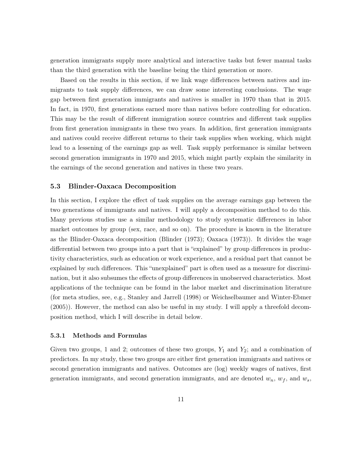generation immigrants supply more analytical and interactive tasks but fewer manual tasks than the third generation with the baseline being the third generation or more.

Based on the results in this section, if we link wage differences between natives and immigrants to task supply differences, we can draw some interesting conclusions. The wage gap between first generation immigrants and natives is smaller in 1970 than that in 2015. In fact, in 1970, first generations earned more than natives before controlling for education. This may be the result of different immigration source countries and different task supplies from first generation immigrants in these two years. In addition, first generation immigrants and natives could receive different returns to their task supplies when working, which might lead to a lessening of the earnings gap as well. Task supply performance is similar between second generation immigrants in 1970 and 2015, which might partly explain the similarity in the earnings of the second generation and natives in these two years.

### 5.3 Blinder-Oaxaca Decomposition

In this section, I explore the effect of task supplies on the average earnings gap between the two generations of immigrants and natives. I will apply a decomposition method to do this. Many previous studies use a similar methodology to study systematic differences in labor market outcomes by group (sex, race, and so on). The procedure is known in the literature as the Blinder-Oaxaca decomposition (Blinder (1973); Oaxaca (1973)). It divides the wage differential between two groups into a part that is "explained" by group differences in productivity characteristics, such as education or work experience, and a residual part that cannot be explained by such differences. This "unexplained" part is often used as a measure for discrimination, but it also subsumes the effects of group differences in unobserved characteristics. Most applications of the technique can be found in the labor market and discrimination literature (for meta studies, see, e.g., Stanley and Jarrell (1998) or Weichselbaumer and Winter-Ebmer (2005)). However, the method can also be useful in my study. I will apply a threefold decomposition method, which I will describe in detail below.

#### 5.3.1 Methods and Formulas

Given two groups, 1 and 2; outcomes of these two groups,  $Y_1$  and  $Y_2$ ; and a combination of predictors. In my study, these two groups are either first generation immigrants and natives or second generation immigrants and natives. Outcomes are (log) weekly wages of natives, first generation immigrants, and second generation immigrants, and are denoted  $w_n$ ,  $w_f$ , and  $w_s$ ,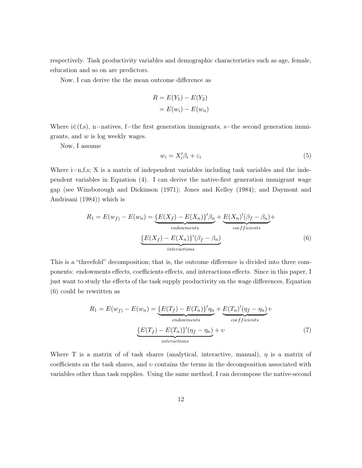respectively. Task productivity variables and demographic characteristics such as age, female, education and so on are predictors.

Now, I can derive the the mean outcome difference as

$$
R = E(Y_1) - E(Y_2)
$$

$$
= E(w_i) - E(w_n)
$$

Where  $i \in (f,s)$ , n=natives, f=the first generation immigrants, s=the second generation immigrants, and w is log weekly wages.

Now, I assume

$$
w_i = X_i' \beta_i + \varepsilon_i \tag{5}
$$

Where  $i=n,f,s; X$  is a matrix of independent variables including task variables and the independent variables in Equation (4). I can derive the native-first generation immigrant wage gap (see Winsborough and Dickinson (1971); Jones and Kelley (1984); and Daymont and Andrisani (1984)) which is

$$
R_1 = E(w_f) - E(w_n) = \underbrace{\{E(X_f) - E(X_n)\}' \beta_n}_{endownents} + \underbrace{E(X_n)'(\beta_f - \beta_n)}_{coefficients} + \underbrace{\{E(X_f) - E(X_n)\}'(\beta_f - \beta_n)}_{interactions}
$$
\n
$$
(6)
$$

This is a "threefold" decomposition; that is, the outcome difference is divided into three components: endowments effects, coefficients effects, and interactions effects. Since in this paper, I just want to study the effects of the task supply productivity on the wage differences, Equation (6) could be rewritten as

$$
R_1 = E(w_f) - E(w_n) = \underbrace{\{E(T_f) - E(T_n)\}' \eta_n}_{endownents} + \underbrace{E(T_n)'(\eta_f - \eta_n)}_{coefficients} + \underbrace{\{E(T_f) - E(T_n)\}'(\eta_f - \eta_n)}_{interactions} + v
$$
\n(7)

Where T is a matrix of of task shares (analytical, interactive, manual),  $\eta$  is a matrix of coefficients on the task shares, and  $v$  contains the terms in the decomposition associated with variables other than task supplies. Using the same method, I can decompose the native-second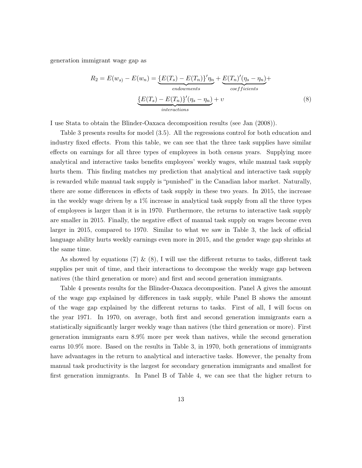generation immigrant wage gap as

$$
R_2 = E(w_s) - E(w_n) = \underbrace{\{E(T_s) - E(T_n)\}' \eta_n}_{endownents} + \underbrace{E(T_n)'\eta_s - \eta_n}_{coefficients} + \underbrace{\{E(T_s) - E(T_n)\}' (\eta_s - \eta_n)}_{interactions} + v
$$
\n
$$
(8)
$$

I use Stata to obtain the Blinder-Oaxaca decomposition results (see Jan (2008)).

Table 3 presents results for model (3.5). All the regressions control for both education and industry fixed effects. From this table, we can see that the three task supplies have similar effects on earnings for all three types of employees in both census years. Supplying more analytical and interactive tasks benefits employees' weekly wages, while manual task supply hurts them. This finding matches my prediction that analytical and interactive task supply is rewarded while manual task supply is "punished" in the Canadian labor market. Naturally, there are some differences in effects of task supply in these two years. In 2015, the increase in the weekly wage driven by a 1% increase in analytical task supply from all the three types of employees is larger than it is in 1970. Furthermore, the returns to interactive task supply are smaller in 2015. Finally, the negative effect of manual task supply on wages become even larger in 2015, compared to 1970. Similar to what we saw in Table 3, the lack of official language ability hurts weekly earnings even more in 2015, and the gender wage gap shrinks at the same time.

As showed by equations (7) & (8), I will use the different returns to tasks, different task supplies per unit of time, and their interactions to decompose the weekly wage gap between natives (the third generation or more) and first and second generation immigrants.

Table 4 presents results for the Blinder-Oaxaca decomposition. Panel A gives the amount of the wage gap explained by differences in task supply, while Panel B shows the amount of the wage gap explained by the different returns to tasks. First of all, I will focus on the year 1971. In 1970, on average, both first and second generation immigrants earn a statistically significantly larger weekly wage than natives (the third generation or more). First generation immigrants earn 8.9% more per week than natives, while the second generation earns 10.9% more. Based on the results in Table 3, in 1970, both generations of immigrants have advantages in the return to analytical and interactive tasks. However, the penalty from manual task productivity is the largest for secondary generation immigrants and smallest for first generation immigrants. In Panel B of Table 4, we can see that the higher return to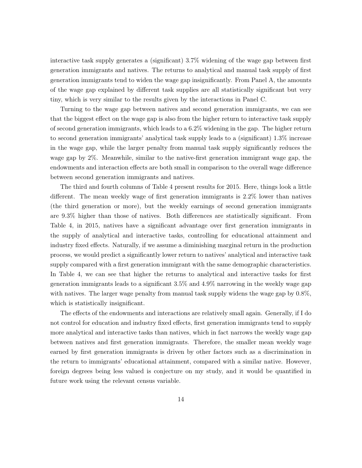interactive task supply generates a (significant) 3.7% widening of the wage gap between first generation immigrants and natives. The returns to analytical and manual task supply of first generation immigrants tend to widen the wage gap insignificantly. From Panel A, the amounts of the wage gap explained by different task supplies are all statistically significant but very tiny, which is very similar to the results given by the interactions in Panel C.

Turning to the wage gap between natives and second generation immigrants, we can see that the biggest effect on the wage gap is also from the higher return to interactive task supply of second generation immigrants, which leads to a 6.2% widening in the gap. The higher return to second generation immigrants' analytical task supply leads to a (significant) 1.3% increase in the wage gap, while the larger penalty from manual task supply significantly reduces the wage gap by 2%. Meanwhile, similar to the native-first generation immigrant wage gap, the endowments and interaction effects are both small in comparison to the overall wage difference between second generation immigrants and natives.

The third and fourth columns of Table 4 present results for 2015. Here, things look a little different. The mean weekly wage of first generation immigrants is 2.2% lower than natives (the third generation or more), but the weekly earnings of second generation immigrants are 9.3% higher than those of natives. Both differences are statistically significant. From Table 4, in 2015, natives have a significant advantage over first generation immigrants in the supply of analytical and interactive tasks, controlling for educational attainment and industry fixed effects. Naturally, if we assume a diminishing marginal return in the production process, we would predict a significantly lower return to natives' analytical and interactive task supply compared with a first generation immigrant with the same demographic characteristics. In Table 4, we can see that higher the returns to analytical and interactive tasks for first generation immigrants leads to a significant 3.5% and 4.9% narrowing in the weekly wage gap with natives. The larger wage penalty from manual task supply widens the wage gap by 0.8%, which is statistically insignificant.

The effects of the endowments and interactions are relatively small again. Generally, if I do not control for education and industry fixed effects, first generation immigrants tend to supply more analytical and interactive tasks than natives, which in fact narrows the weekly wage gap between natives and first generation immigrants. Therefore, the smaller mean weekly wage earned by first generation immigrants is driven by other factors such as a discrimination in the return to immigrants' educational attainment, compared with a similar native. However, foreign degrees being less valued is conjecture on my study, and it would be quantified in future work using the relevant census variable.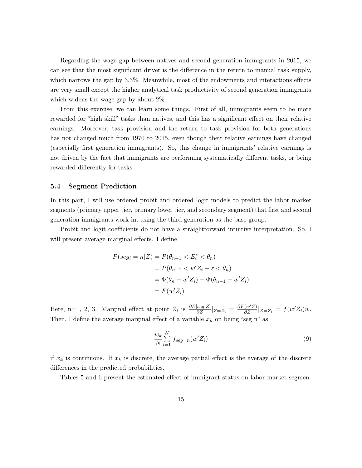Regarding the wage gap between natives and second generation immigrants in 2015, we can see that the most significant driver is the difference in the return to manual task supply, which narrows the gap by 3.3%. Meanwhile, most of the endowments and interactions effects are very small except the higher analytical task productivity of second generation immigrants which widens the wage gap by about 2%.

From this exercise, we can learn some things. First of all, immigrants seem to be more rewarded for "high skill" tasks than natives, and this has a significant effect on their relative earnings. Moreover, task provision and the return to task provision for both generations has not changed much from 1970 to 2015, even though their relative earnings have changed (especially first generation immigrants). So, this change in immigrants' relative earnings is not driven by the fact that immigrants are performing systematically different tasks, or being rewarded differently for tasks.

## 5.4 Segment Prediction

In this part, I will use ordered probit and ordered logit models to predict the labor market segments (primary upper tier, primary lower tier, and secondary segment) that first and second generation immigrants work in, using the third generation as the base group.

Probit and logit coefficients do not have a straightforward intuitive interpretation. So, I will present average marginal effects. I define

$$
P(seg_i = n|Z) = P(\theta_{n-1} < E_i^* < \theta_n)
$$
\n
$$
= P(\theta_{n-1} < w'Z_i + \varepsilon < \theta_n)
$$
\n
$$
= \Phi(\theta_n - w'Z_i) - \Phi(\theta_{n-1} - w'Z_i)
$$
\n
$$
= F(w'Z_i)
$$

Here, n=1, 2, 3. Marginal effect at point  $Z_i$  is  $\frac{\partial E[seg|Z]}{\partial Z}|_{Z=Z_i} = \frac{\partial F(w'Z)}{\partial Z}|_{Z=Z_i} = f(w'Z_i)w$ . Then, I define the average marginal effect of a variable  $x_k$  on being "seg n" as

$$
\frac{w_k}{N} \sum_{i=1}^{N} f_{seg=n}(w'Z_i)
$$
\n(9)

if  $x_k$  is continuous. If  $x_k$  is discrete, the average partial effect is the average of the discrete differences in the predicted probabilities.

Tables 5 and 6 present the estimated effect of immigrant status on labor market segmen-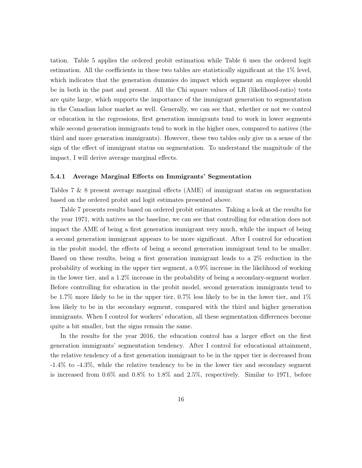tation. Table 5 applies the ordered probit estimation while Table 6 uses the ordered logit estimation. All the coefficients in these two tables are statistically significant at the 1% level, which indicates that the generation dummies do impact which segment an employee should be in both in the past and present. All the Chi square values of LR (likelihood-ratio) tests are quite large, which supports the importance of the immigrant generation to segmentation in the Canadian labor market as well. Generally, we can see that, whether or not we control or education in the regressions, first generation immigrants tend to work in lower segments while second generation immigrants tend to work in the higher ones, compared to natives (the third and more generation immigrants). However, these two tables only give us a sense of the sign of the effect of immigrant status on segmentation. To understand the magnitude of the impact, I will derive average marginal effects.

#### 5.4.1 Average Marginal Effects on Immigrants' Segmentation

Tables 7 & 8 present average marginal effects (AME) of immigrant status on segmentation based on the ordered probit and logit estimates presented above.

Table 7 presents results based on ordered probit estimates. Taking a look at the results for the year 1971, with natives as the baseline, we can see that controlling for education does not impact the AME of being a first generation immigrant very much, while the impact of being a second generation immigrant appears to be more significant. After I control for education in the probit model, the effects of being a second generation immigrant tend to be smaller. Based on these results, being a first generation immigrant leads to a 2% reduction in the probability of working in the upper tier segment, a 0.9% increase in the likelihood of working in the lower tier, and a 1.2% increase in the probability of being a secondary-segment worker. Before controlling for education in the probit model, second generation immigrants tend to be 1.7% more likely to be in the upper tier, 0.7% less likely to be in the lower tier, and 1% less likely to be in the secondary segment, compared with the third and higher generation immigrants. When I control for workers' education, all these segmentation differences become quite a bit smaller, but the signs remain the same.

In the results for the year 2016, the education control has a larger effect on the first generation immigrants' segmentation tendency. After I control for educational attainment, the relative tendency of a first generation immigrant to be in the upper tier is decreased from -1.4% to -4.3%, while the relative tendency to be in the lower tier and secondary segment is increased from 0.6% and 0.8% to 1.8% and 2.5%, respectively. Similar to 1971, before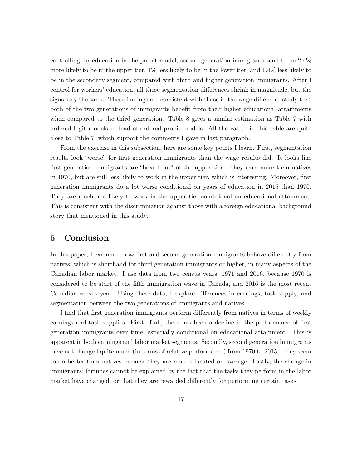controlling for education in the probit model, second generation immigrants tend to be 2.4% more likely to be in the upper tier, 1% less likely to be in the lower tier, and 1.4% less likely to be in the secondary segment, compared with third and higher generation immigrants. After I control for workers' education, all these segmentation differences shrink in magnitude, but the signs stay the same. These findings are consistent with those in the wage difference study that both of the two generations of immigrants benefit from their higher educational attainments when compared to the third generation. Table 8 gives a similar estimation as Table 7 with ordered logit models instead of ordered probit models. All the values in this table are quite close to Table 7, which support the comments I gave in last paragraph.

From the exercise in this subsection, here are some key points I learn. First, segmentation results look "worse" for first generation immigrants than the wage results did. It looks like first generation immigrants are "boxed out" of the upper tier – they earn more than natives in 1970, but are still less likely to work in the upper tier, which is interesting. Moreover, first generation immigrants do a lot worse conditional on years of education in 2015 than 1970. They are much less likely to work in the upper tier conditional on educational attainment. This is consistent with the discrimination against those with a foreign educational background story that mentioned in this study.

## 6 Conclusion

In this paper, I examined how first and second generation immigrants behave differently from natives, which is shorthand for third generation immigrants or higher, in many aspects of the Canadian labor market. I use data from two census years, 1971 and 2016, because 1970 is considered to be start of the fifth immigration wave in Canada, and 2016 is the most recent Canadian census year. Using these data, I explore differences in earnings, task supply, and segmentation between the two generations of immigrants and natives.

I find that first generation immigrants perform differently from natives in terms of weekly earnings and task supplies. First of all, there has been a decline in the performance of first generation immigrants over time, especially conditional on educational attainment. This is apparent in both earnings and labor market segments. Secondly, second generation immigrants have not changed quite much (in terms of relative performance) from 1970 to 2015. They seem to do better than natives because they are more educated on average. Lastly, the change in immigrants' fortunes cannot be explained by the fact that the tasks they perform in the labor market have changed, or that they are rewarded differently for performing certain tasks.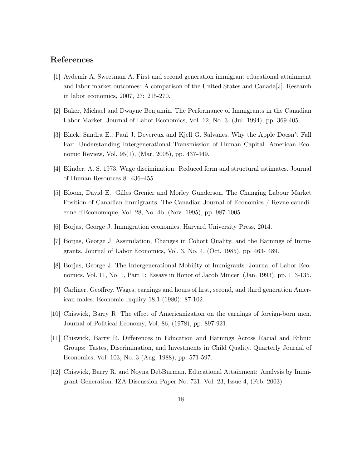## References

- [1] Aydemir A, Sweetman A. First and second generation immigrant educational attainment and labor market outcomes: A comparison of the United States and Canada [J]. Research in labor economics, 2007, 27: 215-270.
- [2] Baker, Michael and Dwayne Benjamin. The Performance of Immigrants in the Canadian Labor Market. Journal of Labor Economics, Vol. 12, No. 3. (Jul. 1994), pp. 369-405.
- [3] Black, Sandra E., Paul J. Devereux and Kjell G. Salvanes. Why the Apple Doesn't Fall Far: Understanding Intergenerational Transmission of Human Capital. American Economic Review, Vol. 95(1), (Mar. 2005), pp. 437-449.
- [4] Blinder, A. S. 1973. Wage discimination: Reduced form and structural estimates. Journal of Human Resources 8: 436–455.
- [5] Bloom, David E., Gilles Grenier and Morley Gunderson. The Changing Labour Market Position of Canadian Immigrants. The Canadian Journal of Economics / Revue canadienne d'Economique, Vol. 28, No. 4b. (Nov. 1995), pp. 987-1005.
- [6] Borjas, George J. Immigration economics. Harvard University Press, 2014.
- [7] Borjas, George J. Assimilation, Changes in Cohort Quality, and the Earnings of Immigrants. Journal of Labor Economics, Vol. 3, No. 4. (Oct. 1985), pp. 463- 489.
- [8] Borjas, George J. The Intergenerational Mobility of Immigrants. Journal of Labor Economics, Vol. 11, No. 1, Part 1: Essays in Honor of Jacob Mincer. (Jan. 1993), pp. 113-135.
- [9] Carliner, Geoffrey. Wages, earnings and hours of first, second, and third generation American males. Economic Inquiry 18.1 (1980): 87-102.
- [10] Chiswick, Barry R. The effect of Americanization on the earnings of foreign-born men. Journal of Political Economy, Vol. 86, (1978), pp. 897-921.
- [11] Chiswick, Barry R. Differences in Education and Earnings Across Racial and Ethnic Groups: Tastes, Discrimination, and Investments in Child Quality. Quarterly Journal of Economics, Vol. 103, No. 3 (Aug. 1988), pp. 571-597.
- [12] Chiswick, Barry R. and Noyna DebBurman. Educational Attainment: Analysis by Immigrant Generation. IZA Discussion Paper No. 731, Vol. 23, Issue 4, (Feb. 2003).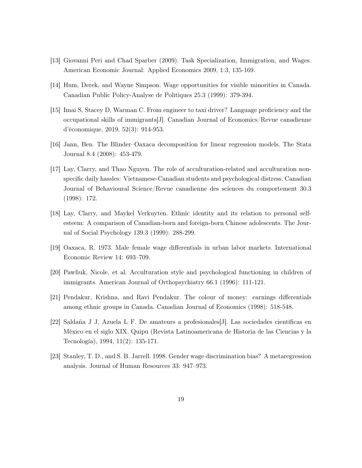- [13] Giovanni Peri and Chad Sparber (2009). Task Specialization, Immigration, and Wages. American Economic Journal: Applied Economics 2009, 1:3, 135-169.
- [14] Hum, Derek, and Wayne Simpson. Wage opportunities for visible minorities in Canada. Canadian Public Policy-Analyse de Politiques 25.3 (1999): 379-394.
- [15] Imai S, Stacey D, Warman C. From engineer to taxi driver? Language proficiency and the occupational skills of immigrants[J]. Canadian Journal of Economics/Revue canadienne d'économique, 2019, 52(3): 914-953.
- [16] Jann, Ben. The Blinder–Oaxaca decomposition for linear regression models. The Stata Journal 8.4 (2008): 453-479.
- [17] Lay, Clarry, and Thao Nguyen. The role of acculturation-related and acculturation nonspecific daily hassles: Vietnamese-Canadian students and psychological distress. Canadian Journal of Behavioural Science/Revue canadienne des sciences du comportement 30.3 (1998): 172.
- [18] Lay, Clarry, and Maykel Verkuyten. Ethnic identity and its relation to personal selfesteem: A comparison of Canadian-born and foreign-born Chinese adolescents. The Journal of Social Psychology 139.3 (1999): 288-299.
- [19] Oaxaca, R. 1973. Male–female wage differentials in urban labor markets. International Economic Review 14: 693–709.
- [20] Pawliuk, Nicole, et al. Acculturation style and psychological functioning in children of immigrants. American Journal of Orthopsychiatry 66.1 (1996): 111-121.
- [21] Pendakur, Krishna, and Ravi Pendakur. The colour of money: earnings differentials among ethnic groups in Canada. Canadian Journal of Economics (1998): 518-548.
- [22] Saldaña J J, Azuela L F. De amateurs a profesionales[J]. Las sociedades científicas en México en el siglo XIX. Quipu (Revista Latinoamericana de Historia de las Ciencias y la Tecnología), 1994, 11(2): 135-171.
- [23] Stanley, T. D., and S. B. Jarrell. 1998. Gender wage discrimination bias? A metaregression analysis. Journal of Human Resources 33: 947–973.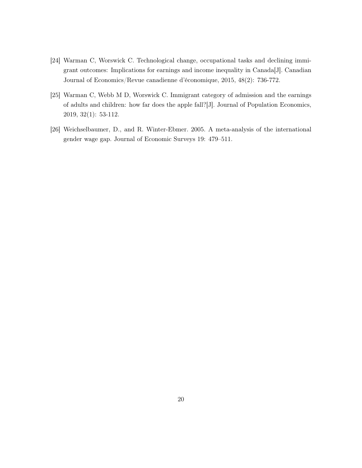- [24] Warman C, Worswick C. Technological change, occupational tasks and declining immigrant outcomes: Implications for earnings and income inequality in Canada[J]. Canadian Journal of Economics/Revue canadienne d'économique, 2015, 48(2): 736-772.
- [25] Warman C, Webb M D, Worswick C. Immigrant category of admission and the earnings of adults and children: how far does the apple fall?[J]. Journal of Population Economics, 2019, 32(1): 53-112.
- [26] Weichselbaumer, D., and R. Winter-Ebmer. 2005. A meta-analysis of the international gender wage gap. Journal of Economic Surveys 19: 479–511.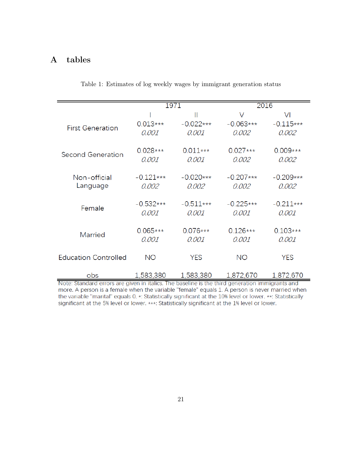## A tables

|                             |             | 1971        | 2016        |             |  |
|-----------------------------|-------------|-------------|-------------|-------------|--|
|                             |             | Ш           | V           | VI          |  |
| <b>First Generation</b>     | $0.013***$  | $-0.022***$ | $-0.063***$ | $-0.115***$ |  |
|                             | 0.001       | 0.001       | 0.002       | 0.002       |  |
|                             |             |             |             |             |  |
| <b>Second Generation</b>    | $0.028***$  | $0.011***$  | $0.027***$  | $0.009***$  |  |
|                             | 0.001       | 0.001       | 0.002       | 0.002       |  |
|                             |             |             |             |             |  |
| Non-official                | $-0.121***$ | $-0.020***$ | $-0.207***$ | $-0.209***$ |  |
| Language                    | 0.002       | 0.002       | 0.002       | 0.002       |  |
|                             | $-0.532***$ | $-0.511***$ | $-0.225***$ | $-0.211***$ |  |
| Female                      | 0.001       | 0.001       | 0.001       | 0.001       |  |
|                             |             |             |             |             |  |
|                             | $0.065***$  | $0.076***$  | $0.126***$  | $0.103***$  |  |
| <b>Married</b>              | 0.001       | 0.001       | 0.001       | 0.001       |  |
|                             |             |             |             |             |  |
| <b>Education Controlled</b> | NO.         | <b>YES</b>  | <b>NO</b>   | <b>YES</b>  |  |
|                             |             |             |             |             |  |
| obs                         | 1,583,380   | 1,583,380   | 1,872,670   | 1,872,670   |  |

Table 1: Estimates of log weekly wages by immigrant generation status

Note: Standard errors are given in italics. The baseline is the third generation immigrants and more. A person is a female when the variable "female" equals 1. A person is never married when the variable "marital" equals 0. \*: Statistically significant at the 10% level or lower. \*\*: Statistically significant at the 5% level or lower. \*\*\*: Statistically significant at the 1% level or lower.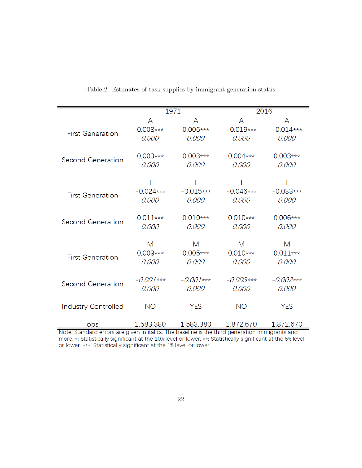|                            | 1971        |             | 2016        |             |  |
|----------------------------|-------------|-------------|-------------|-------------|--|
|                            | A           | A           | A           | A           |  |
|                            | $0.008***$  | $0.006***$  | $-0.019***$ | $-0.014***$ |  |
| <b>First Generation</b>    | 0.000       | 0.000       | 0.000       | 0.000       |  |
|                            |             |             |             |             |  |
| Second Generation          | $0.003***$  | $0.003***$  | $0.004***$  | $0.003***$  |  |
|                            | 0.000       | 0.000       | 0.000       | 0.000       |  |
|                            |             |             |             |             |  |
|                            | $-0.024***$ | $-0.015***$ | $-0.046***$ | $-0.033***$ |  |
| <b>First Generation</b>    | 0.000       | 0.000       | 0.000       | 0.000       |  |
|                            |             |             |             |             |  |
|                            | $0.011***$  | $0.010***$  | $0.010***$  | $0.006***$  |  |
| <b>Second Generation</b>   | 0.000       | 0.000       | 0.000       | 0.000       |  |
|                            |             |             |             |             |  |
|                            | M           | M           | M           | M           |  |
| <b>First Generation</b>    | $0.009***$  | $0.005***$  | $0.010***$  | $0.011***$  |  |
|                            | 0.000       | 0.000       | 0.000       | 0.000       |  |
|                            |             |             |             |             |  |
| <b>Second Generation</b>   | $-0.001***$ | $-0.001***$ | $-0.003***$ | $-0.002***$ |  |
|                            | 0.000       | 0.000       | 0.000       | 0.000       |  |
| <b>Industry Controlled</b> | <b>NO</b>   | <b>YES</b>  | <b>NO</b>   | <b>YES</b>  |  |
|                            |             |             |             |             |  |
| obs                        | 1,583,380   | 1,583,380   | 1,872,670   | 1,872,670   |  |

Table 2: Estimates of task supplies by immigrant generation status

Note: Standard errors are given in italics. The baseline is the third generation immigrants and more. \*: Statistically significant at the 10% level or lower. \*\*: Statistically significant at the 5% level or lower. \*\*\*: Statistically significant at the 1% level or lower.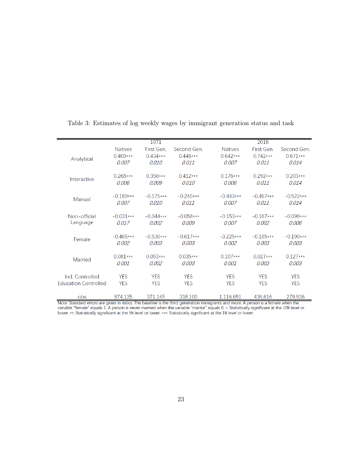|                             |                | 1971        |             |                | 2016        |             |
|-----------------------------|----------------|-------------|-------------|----------------|-------------|-------------|
|                             | <b>Natives</b> | First Gen   | Second Gen  | <b>Natives</b> | First Gen   | Second Gen. |
|                             | $0.409***$     | $0.434***$  | $0.446***$  | $0.642***$     | $0.742***$  | $0.671***$  |
| Analytical                  | 0.007          | 0.010       | 0.011       | 0.007          | 0.011       | 0.014       |
|                             | $0.268***$     | $0.358***$  | $0.412***$  | $0.176***$     | $0.292***$  | $0.203***$  |
| Interactive                 | 0.006          | 0.009       | 0.010       | 0.006          | 0.011       | 0.014       |
|                             | $-0.189***$    | $-0.175***$ | $-0.245***$ | $-0.443***$    | $-0.467***$ | $-0.522***$ |
| Manual                      | 0.007          | 0.010       | 0.011       | 0.007          | 0.011       | 0.014       |
| Non-official                | $-0.031***$    | $-0.044***$ | $-0.058***$ | $-0.153***$    | $-0.167***$ | $-0.098***$ |
| Language                    | 0.017          | 0.002       | 0.009       | 0.007          | 0.002       | 0.006       |
|                             | $-0.465***$    | $-0.530***$ | $-0.617***$ | $-0.225***$    | $-0.185***$ | $-0.190***$ |
| Female                      | 0.002          | 0.003       | 0.003       | 0.002          | 0.003       | 0.003       |
|                             | $0.081***$     | $0.053***$  | $0.035***$  | $0.107***$     | $0.027***$  | $0.127***$  |
| Married                     | 0.001          | 0.002       | 0.003       | 0.001          | 0.003       | 0.003       |
| Ind. Controlled             | <b>YFS</b>     | <b>YFS</b>  | <b>YFS</b>  | <b>YFS</b>     | <b>YFS</b>  | <b>YFS</b>  |
| <b>Education Controlled</b> | <b>YFS</b>     | <b>YFS</b>  | <b>YFS</b>  | <b>YFS</b>     | <b>YFS</b>  | <b>YFS</b>  |
|                             |                |             |             |                |             |             |
| obs                         | 874,135        | 371.145     | 338,100     | 1,116,651      | 436,616     | 279,936     |

Table 3: Estimates of log weekly wages by immigrant generation status and task

Note: Standard errors are given in italics. The baseline is the third generation immigrants and more. A person is a female when the variable "female" equals 1. A person is never married when the variable "marital" equals 0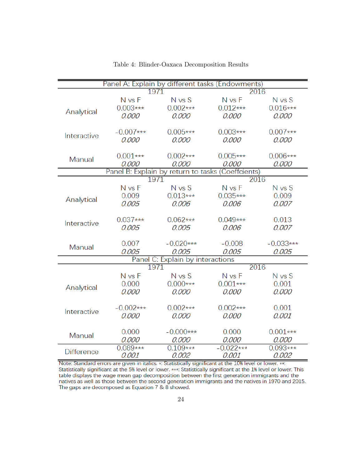| Panel A: Explain by different tasks (Endowments) |             |                                  |                                                   |             |  |  |
|--------------------------------------------------|-------------|----------------------------------|---------------------------------------------------|-------------|--|--|
|                                                  | 1971        |                                  | 2016                                              |             |  |  |
|                                                  | N vs F      | $N$ vs $S$                       | N vs F                                            | N vs S      |  |  |
| Analytical                                       | $0.003***$  | $0.002***$                       | $0.012***$                                        | $0.016***$  |  |  |
|                                                  | 0.000       | 0.000                            | 0.000                                             | 0.000       |  |  |
|                                                  |             |                                  |                                                   |             |  |  |
| Interactive                                      | $-0.007***$ | $0.005***$                       | $0.003***$                                        | $0.007***$  |  |  |
|                                                  | 0.000       | 0.000                            | 0.000                                             | 0.000       |  |  |
|                                                  |             |                                  |                                                   |             |  |  |
| Manual                                           | $0.001***$  | $0.002***$                       | $0.005***$                                        | $0.006***$  |  |  |
|                                                  | 0.000       | 0.000                            | 0.000                                             | 0.000       |  |  |
|                                                  |             |                                  | Panel B: Explain by return to tasks (Coeffcients) |             |  |  |
|                                                  | 1971        |                                  | 2016                                              |             |  |  |
|                                                  | N vs F      | N vs S                           | N vs F                                            | N vs S      |  |  |
| Analytical                                       | 0.009       | $0.013***$                       | $0.035***$                                        | 0.009       |  |  |
|                                                  | 0.005       | 0.006                            | 0.006                                             | 0.007       |  |  |
|                                                  |             |                                  |                                                   |             |  |  |
| Interactive                                      | $0.037***$  | $0.062***$                       | $0.049***$                                        | 0.013       |  |  |
|                                                  | 0.005       | 0.005                            | 0.006                                             | 0.007       |  |  |
|                                                  | 0.007       | $-0.020***$                      | $-0.008$                                          | $-0.033***$ |  |  |
| Manual                                           | 0.005       | 0.005                            | 0.005                                             | 0.005       |  |  |
|                                                  |             | Panel C: Explain by interactions |                                                   |             |  |  |
|                                                  | 1971        |                                  |                                                   | 2016        |  |  |
|                                                  | N vs F      | N vs S                           | N vs F                                            | N vs S      |  |  |
|                                                  | 0.000       | $0.000***$                       | $0.001***$                                        | 0.001       |  |  |
| Analytical                                       | 0.000       | 0.000                            | 0.000                                             | 0.000       |  |  |
|                                                  |             |                                  |                                                   |             |  |  |
|                                                  | $-0.002***$ | $0.002***$                       | $0.002***$                                        | 0.001       |  |  |
| Interactive                                      | 0.000       | 0.000                            | 0.000                                             | 0.001       |  |  |
|                                                  |             |                                  |                                                   |             |  |  |
|                                                  | 0.000       | $-0.000***$                      | 0.000                                             | $0.001***$  |  |  |
| Manual                                           | 0.000       | 0.000                            | 0.000                                             | 0.000       |  |  |
|                                                  | $0.089***$  | $0.109***$                       | $-0.022***$                                       | $0.093***$  |  |  |
| <b>Difference</b>                                | 0.001       | 0.002                            | 0.001                                             | 0.002       |  |  |

Table 4: Blinder-Oaxaca Decomposition Results

Note: Standard errors are given in italics. \*: Statistically significant at the 10% level or lower. \*\*: Statistically significant at the 5% level or lower. \*\*\*: Statistically significant at the 1% level or lower. This table displays the wage mean gap decomposition between the first generation immigrants and the natives as well as those between the second generation immigrants and the natives in 1970 and 2015. The gaps are decomposed as Equation 7 & 8 showed.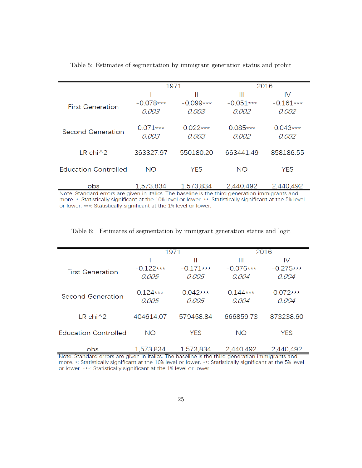|                               |                      | 1971                                                                                | 2016                      |                            |  |
|-------------------------------|----------------------|-------------------------------------------------------------------------------------|---------------------------|----------------------------|--|
| <b>First Generation</b>       | $-0.078***$<br>0.003 | Ш<br>$-0.099***$<br>0.003                                                           | Ш<br>$-0.051***$<br>0.002 | IV<br>$-0.161***$<br>0.002 |  |
| <b>Second Generation</b>      | $0.071***$<br>0.003  | $0.022***$<br>0.003                                                                 | $0.085***$<br>0.002       | $0.043***$<br>0.002        |  |
| LR chi $\wedge$ 2             | 363327.97            | 550180.20                                                                           | 663441.49                 | 858186.55                  |  |
| <b>Education Controlled</b>   | <b>NO</b>            | <b>YES</b>                                                                          | <b>NO</b>                 | YES                        |  |
| obs.<br>Note: Ctonderd errors | 1,573,834            | 1.573.834<br>civics in italian. The benefine in the third generation immigrants and | 2,440,492                 | 2,440,492                  |  |

Table 5: Estimates of segmentation by immigrant generation status and probit

Note: Standard errors are given in italics. The baseline is the third generation immigrants and more. \*: Statistically significant at the 10% level or lower. \*\*: Statistically significant at the 5% level or lower. \*\*\*: Statistically significant at the 1% level or lower.

| Table 6: Estimates of segmentation by immigrant generation status and logit |  |  |  |  |
|-----------------------------------------------------------------------------|--|--|--|--|
|                                                                             |  |  |  |  |
|                                                                             |  |  |  |  |

|                             |             | 1971        | 2016        |             |  |
|-----------------------------|-------------|-------------|-------------|-------------|--|
|                             |             | Ш           | Ш           | IV          |  |
|                             | $-0.122***$ | $-0.171***$ | $-0.076***$ | $-0.275***$ |  |
| <b>First Generation</b>     | 0.005       | 0.005       | 0.004       | 0.004       |  |
|                             |             |             |             |             |  |
|                             | $0.124***$  | $0.042***$  | $0.144***$  | $0.072***$  |  |
| Second Generation           | 0.005       | 0.005       | 0.004       | 0.004       |  |
|                             |             |             |             |             |  |
| LR chi $\wedge$ 2           | 404614.07   | 579458.84   | 666859.73   | 873238.60   |  |
|                             |             |             |             |             |  |
| <b>Education Controlled</b> | <b>NO</b>   | <b>YES</b>  | <b>NO</b>   | <b>YES</b>  |  |
|                             |             |             |             |             |  |
| obs                         | 1,573,834   | 1,573,834   | 2,440,492   | 2,440,492   |  |

Note: Standard errors are given in italics. The baseline is the third generation immigrants and more. \*: Statistically significant at the 10% level or lower. \*\*: Statistically significant at the 5% level or lower. \*\*\*: Statistically significant at the 1% level or lower.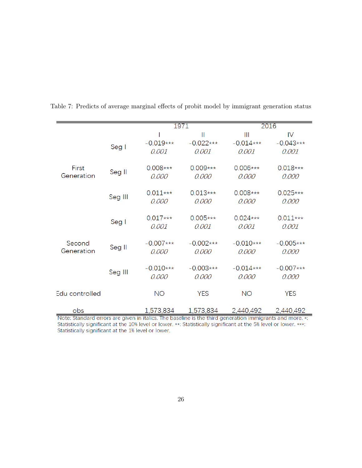|                |         | 1971        |               |             | 2016        |  |  |
|----------------|---------|-------------|---------------|-------------|-------------|--|--|
|                |         |             | $\mathbf{  }$ | Ш           | IV          |  |  |
|                | Seg I   | $-0.019***$ | $-0.022***$   | $-0.014***$ | $-0.043***$ |  |  |
|                |         | 0.001       | 0.001         | 0.001       | 0.001       |  |  |
| First          |         | $0.008***$  | $0.009***$    | $0.006***$  | $0.018***$  |  |  |
| Generation     | Seg II  | 0.000       | 0.000         | 0.000       | 0.000       |  |  |
|                |         | $0.011***$  | $0.013***$    | $0.008***$  | $0.025***$  |  |  |
|                | Seg III | 0.000       | 0.000         | 0.000       | 0.000       |  |  |
|                |         | $0.017***$  | $0.005***$    | $0.024***$  | $0.011***$  |  |  |
|                | Seg I   | 0.001       | 0.001         | 0.001       | 0.001       |  |  |
| Second         |         | $-0.007***$ | $-0.002***$   | $-0.010***$ | $-0.005***$ |  |  |
| Generation     | Seg II  | 0.000       | 0.000         | 0.000       | 0.000       |  |  |
|                |         | $-0.010***$ | $-0.003***$   | $-0.014***$ | $-0.007***$ |  |  |
|                | Seg III | 0.000       | 0.000         | 0.000       | 0.000       |  |  |
| Edu controlled |         | <b>NO</b>   | <b>YES</b>    | <b>NO</b>   | <b>YES</b>  |  |  |
|                |         |             |               |             |             |  |  |
| obs            |         | 1,573,834   | 1,573,834     | 2,440,492   | 2,440,492   |  |  |

Table 7: Predicts of average marginal effects of probit model by immigrant generation status

Note: Standard errors are given in italics. The baseline is the third generation immigrants and more. \*: Statistically significant at the 10% level or lower. \*\*: Statistically significant at the 5% level or lower. \*\*\*: Statistically significant at the 1% level or lower.